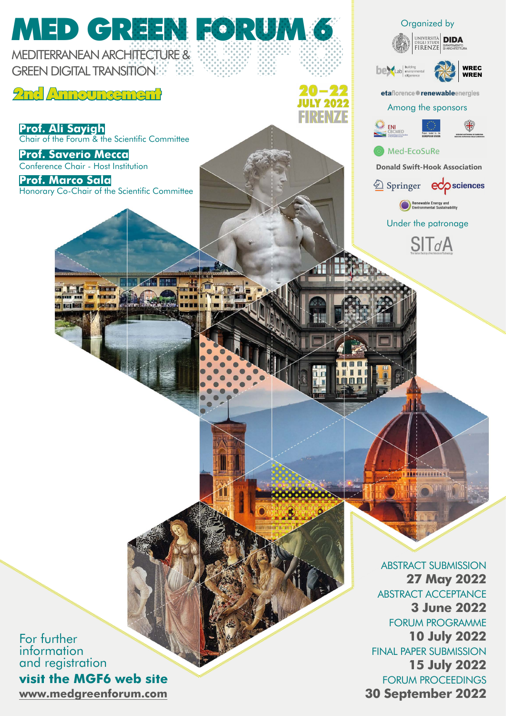

**[www.medgreenforum.com](http://www.medgreenforum.com/cms/)** For further information and registration **visit the MGF6 web site**

**27 May 2022** ABSTRACT ACCEPTANCE **3 June 2022** FORUM PROGRAMME **10 July 2022** FINAL PAPER SUBMISSION **15 July 2022** FORUM PROCEEDINGS **30 September 2022**

WREC WREN

 $\mathsf{e}\mathsf{d}\mathsf{o}$  sciences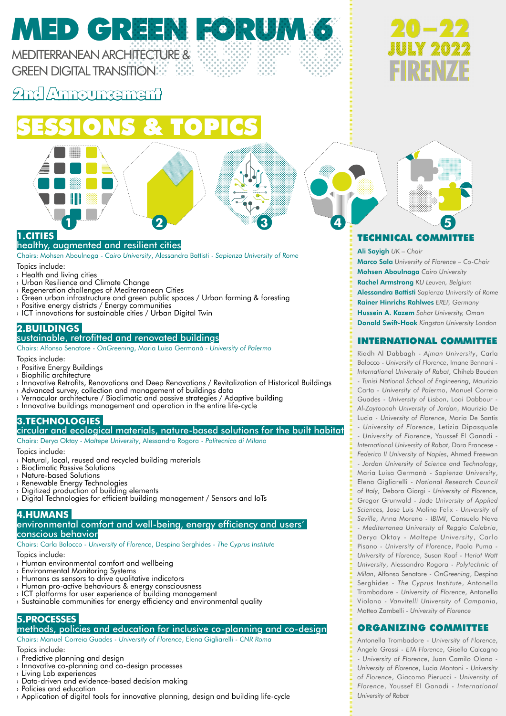MEDITERRANEAN ARCHITECTURE & **GREEN DIGITAL TRANSITIONS** 

2nd Announcement

## SESSIONS & TOPICS



Chairs: Mohsen Aboulnaga - *Cairo University*, Alessandra Battisti - *Sapienza University of Rome*

Topics include:

- › Health and living cities
- › Urban Resilience and Climate Change
- › Regeneration challenges of Mediterranean Cities
- › Green urban infrastructure and green public spaces / Urban farming & foresting
- › Positive energy districts / Energy communities
- › ICT innovations for sustainable cities / Urban Digital Twin

### **2.BUILDINGS**

### sustainable, retrofitted and renovated buildings

Chairs: Alfonso Senatore - *OnGreening*, Maria Luisa Germanà - *University of Palermo*

Topics include:

- › Positive Energy Buildings
- › Biophilic architecture
- › Innovative Retrofits, Renovations and Deep Renovations / Revitalization of Historical Buildings
- › Advanced survey, collection and management of buildings data
- › Vernacular architecture / Bioclimatic and passive strategies / Adaptive building
- $\rightarrow$  Innovative buildings management and operation in the entire life-cycle

### **3.TECHNOLOGIES**

### circular and ecological materials, nature-based solutions for the built habitat

Chairs: Derya Oktay - *Maltepe University*, Alessandro Rogora - *Politecnico di Milano*

Topics include:

- › Natural, local, reused and recycled building materials
- › Bioclimatic Passive Solutions
- › Nature-based Solutions
- › Renewable Energy Technologies
- › Digitized production of building elements
- › Digital Technologies for efficient building management / Sensors and IoTs

### **4.HUMANS**

### environmental comfort and well-being, energy efficiency and users' conscious behavior

Chairs: Carla Balocco - *University of Florence*, Despina Serghides - *The Cyprus Institute*

Topics include:

- › Human environmental comfort and wellbeing
- › Environmental Monitoring Systems
- › Humans as sensors to drive qualitative indicators
- › Human pro-active behaviours & energy consciousness
- $\rightarrow$  ICT platforms for user experience of building management  $\rightarrow$  Sustainable communities for energy efficiency and environmental quality

### **5.PROCESSES**

### methods, policies and education for inclusive co-planning and co-design

Chairs: Manuel Correia Guades - *University of Florence*, Elena Gigliarelli - *CNR Roma* Topics include:

- › Predictive planning and design
- › Innovative co-planning and co-design processes
- › Living Lab experiences
- › Data-driven and evidence-based decision making
- › Policies and education
- › Application of digital tools for innovative planning, design and building life-cycle







### TECHNICAL COMMITTEE

Ali Sayigh *UK – Chair*

Marco Sala *University of Florence – Co-Chair* Mohsen Aboulnaga *Cairo University* Rachel Armstrong *KU Leuven, Belgium* Alessandra Battisti *Sapienza University of Rome* Rainer Hinrichs Rahlwes *EREF, Germany* Hussein A. Kazem *Sohar University, Oman* Donald Swift-Hook *Kingston University London*

### INTERNATIONAL COMMITTEE

Riadh Al Dabbagh - *Ajman University*, Carla Balocco - *University of Florence*, Imane Bennani - *International University of Rabat*, Chiheb Bouden - *Tunisi National School of Engineering*, Maurizio Carta - *University of Palermo*, Manuel Correia Guades - *University of Lisbon*, Loai Dabbour - *Al-Zaytoonah University of Jordan*, Maurizio De Lucia - *University of Florence*, Maria De Santis - *University of Florence*, Letizia Dipasquale - *University of Florence*, Youssef El Ganadi - *International University of Rabat*, Dora Francese - *Federico II University of Naples*, Ahmed Freewan - *Jordan University of Science and Technology*, Maria Luisa Germanà - *Sapienza University*, Elena Gigliarelli - *National Research Council of Italy*, Debora Giorgi - *University of Florence*, Gregor Grunwald - *Jade University of Applied Sciences,* Jose Luis Molina Felix - *University of Seville*, Anna Moreno - *IBIMI*, Consuelo Nava - *Mediterranea University of Reggio Calabria*, Derya Oktay - *Maltepe University*, Carlo Pisano - *University of Florence*, Paola Puma - *University of Florence*, Susan Roaf - *Heriot Watt University*, Alessandro Rogora - *Polytechnic of Milan*, Alfonso Senatore - *OnGreening*, Despina Serghides - *The Cyprus Institute*, Antonella Trombadore - *University of Florence*, Antonella Violano - *Vanvitelli University of Campania*, Matteo Zambelli - *University of Florence*

### ORGANIZING COMMITTEE

Antonella Trombadore - *University of Florence*, Angela Grassi - *ETA Florence*, Gisella Calcagno - *University of Florence*, Juan Camilo Olano - *University of Florence*, Lucia Montoni - *University of Florence*, Giacomo Pierucci - *University of Florence*, Youssef El Ganadi - *International University of Rabat*

**1 2 3 4 5**

# MED GREEN FORUM 6